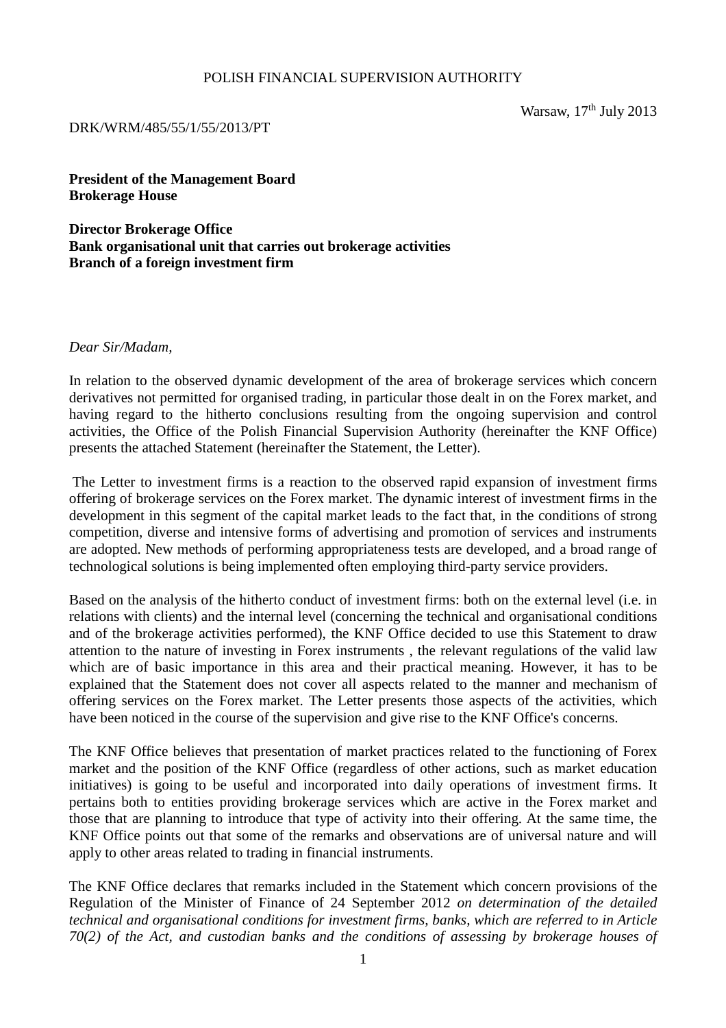#### POLISH FINANCIAL SUPERVISION AUTHORITY

#### DRK/WRM/485/55/1/55/2013/PT

Warsaw,  $17<sup>th</sup>$  July 2013

**President of the Management Board Brokerage House** 

**Director Brokerage Office Bank organisational unit that carries out brokerage activities Branch of a foreign investment firm**

*Dear Sir/Madam,* 

In relation to the observed dynamic development of the area of brokerage services which concern derivatives not permitted for organised trading, in particular those dealt in on the Forex market, and having regard to the hitherto conclusions resulting from the ongoing supervision and control activities, the Office of the Polish Financial Supervision Authority (hereinafter the KNF Office) presents the attached Statement (hereinafter the Statement, the Letter).

 The Letter to investment firms is a reaction to the observed rapid expansion of investment firms offering of brokerage services on the Forex market. The dynamic interest of investment firms in the development in this segment of the capital market leads to the fact that, in the conditions of strong competition, diverse and intensive forms of advertising and promotion of services and instruments are adopted. New methods of performing appropriateness tests are developed, and a broad range of technological solutions is being implemented often employing third-party service providers.

Based on the analysis of the hitherto conduct of investment firms: both on the external level (i.e. in relations with clients) and the internal level (concerning the technical and organisational conditions and of the brokerage activities performed), the KNF Office decided to use this Statement to draw attention to the nature of investing in Forex instruments , the relevant regulations of the valid law which are of basic importance in this area and their practical meaning. However, it has to be explained that the Statement does not cover all aspects related to the manner and mechanism of offering services on the Forex market. The Letter presents those aspects of the activities, which have been noticed in the course of the supervision and give rise to the KNF Office's concerns.

The KNF Office believes that presentation of market practices related to the functioning of Forex market and the position of the KNF Office (regardless of other actions, such as market education initiatives) is going to be useful and incorporated into daily operations of investment firms. It pertains both to entities providing brokerage services which are active in the Forex market and those that are planning to introduce that type of activity into their offering. At the same time, the KNF Office points out that some of the remarks and observations are of universal nature and will apply to other areas related to trading in financial instruments.

The KNF Office declares that remarks included in the Statement which concern provisions of the Regulation of the Minister of Finance of 24 September 2012 *on determination of the detailed technical and organisational conditions for investment firms, banks, which are referred to in Article 70(2) of the Act, and custodian banks and the conditions of assessing by brokerage houses of*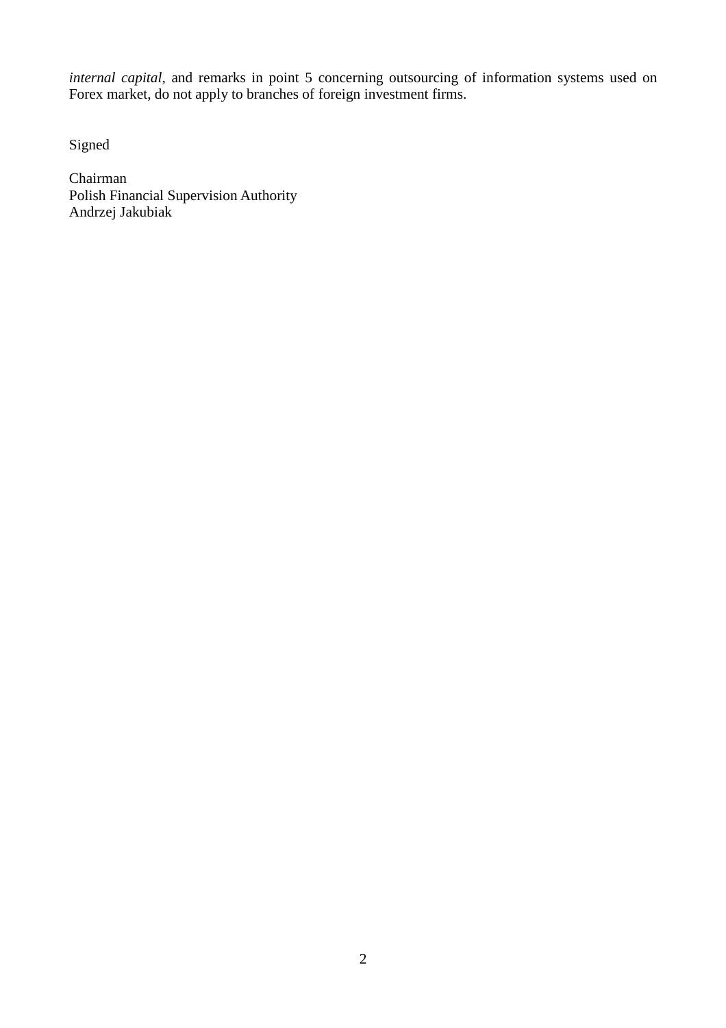*internal capital*, and remarks in point 5 concerning outsourcing of information systems used on Forex market, do not apply to branches of foreign investment firms.

Signed

Chairman Polish Financial Supervision Authority Andrzej Jakubiak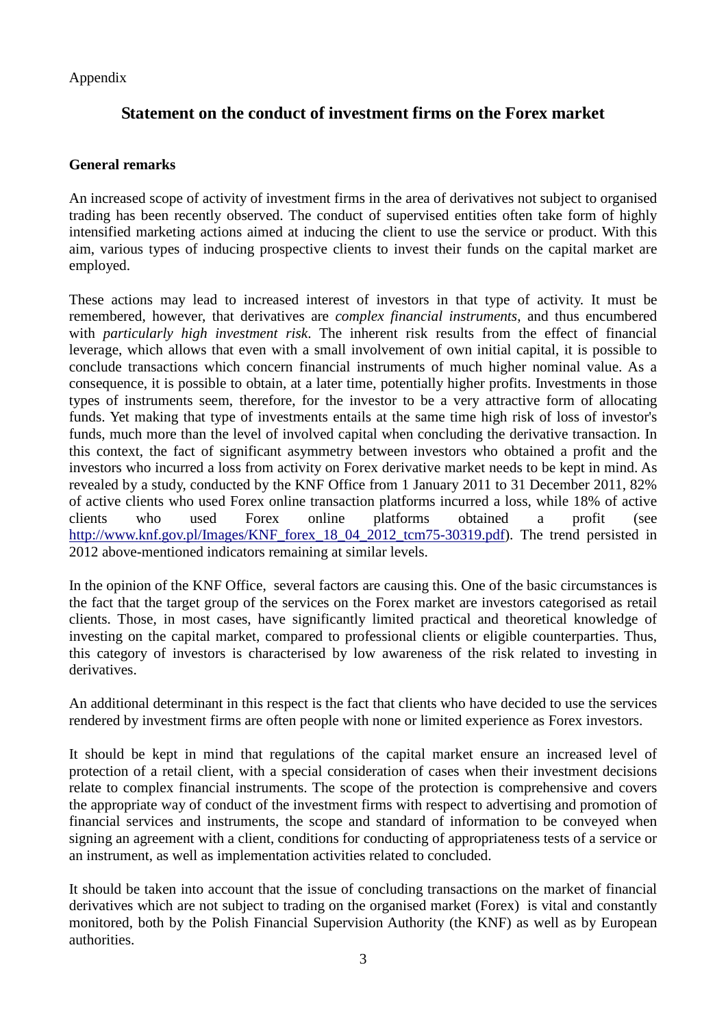Appendix

# **Statement on the conduct of investment firms on the Forex market**

### **General remarks**

An increased scope of activity of investment firms in the area of derivatives not subject to organised trading has been recently observed. The conduct of supervised entities often take form of highly intensified marketing actions aimed at inducing the client to use the service or product. With this aim, various types of inducing prospective clients to invest their funds on the capital market are employed.

These actions may lead to increased interest of investors in that type of activity. It must be remembered, however, that derivatives are *complex financial instruments*, and thus encumbered with *particularly high investment risk*. The inherent risk results from the effect of financial leverage, which allows that even with a small involvement of own initial capital, it is possible to conclude transactions which concern financial instruments of much higher nominal value. As a consequence, it is possible to obtain, at a later time, potentially higher profits. Investments in those types of instruments seem, therefore, for the investor to be a very attractive form of allocating funds. Yet making that type of investments entails at the same time high risk of loss of investor's funds, much more than the level of involved capital when concluding the derivative transaction. In this context, the fact of significant asymmetry between investors who obtained a profit and the investors who incurred a loss from activity on Forex derivative market needs to be kept in mind. As revealed by a study, conducted by the KNF Office from 1 January 2011 to 31 December 2011, 82% of active clients who used Forex online transaction platforms incurred a loss, while 18% of active clients who used Forex online platforms obtained a profit (see http://www.knf.gov.pl/Images/KNF\_forex\_18\_04\_2012\_tcm75-30319.pdf). The trend persisted in 2012 above-mentioned indicators remaining at similar levels.

In the opinion of the KNF Office, several factors are causing this. One of the basic circumstances is the fact that the target group of the services on the Forex market are investors categorised as retail clients. Those, in most cases, have significantly limited practical and theoretical knowledge of investing on the capital market, compared to professional clients or eligible counterparties. Thus, this category of investors is characterised by low awareness of the risk related to investing in derivatives.

An additional determinant in this respect is the fact that clients who have decided to use the services rendered by investment firms are often people with none or limited experience as Forex investors.

It should be kept in mind that regulations of the capital market ensure an increased level of protection of a retail client, with a special consideration of cases when their investment decisions relate to complex financial instruments. The scope of the protection is comprehensive and covers the appropriate way of conduct of the investment firms with respect to advertising and promotion of financial services and instruments, the scope and standard of information to be conveyed when signing an agreement with a client, conditions for conducting of appropriateness tests of a service or an instrument, as well as implementation activities related to concluded.

It should be taken into account that the issue of concluding transactions on the market of financial derivatives which are not subject to trading on the organised market (Forex) is vital and constantly monitored, both by the Polish Financial Supervision Authority (the KNF) as well as by European authorities.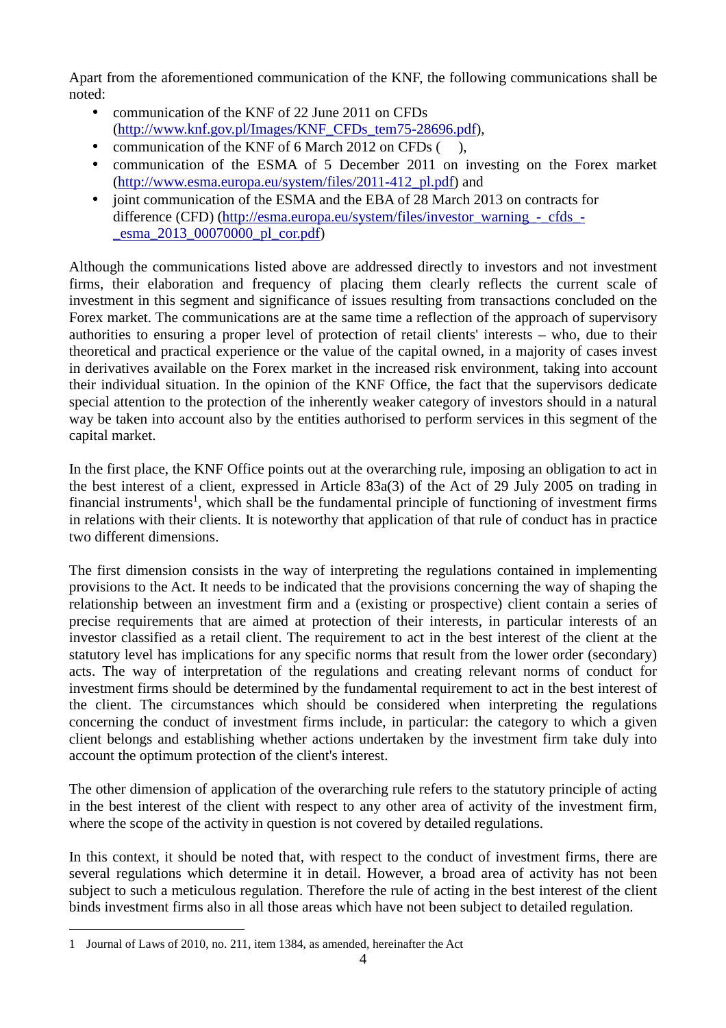Apart from the aforementioned communication of the KNF, the following communications shall be noted:

- communication of the KNF of 22 June 2011 on CFDs (http://www.knf.gov.pl/Images/KNF\_CFDs\_tem75-28696.pdf),
- communication of the KNF of 6 March 2012 on CFDs (),
- communication of the ESMA of 5 December 2011 on investing on the Forex market (http://www.esma.europa.eu/system/files/2011-412\_pl.pdf) and
- joint communication of the ESMA and the EBA of 28 March 2013 on contracts for difference (CFD) (http://esma.europa.eu/system/files/investor\_warning\_-\_cfds\_- \_esma\_2013\_00070000\_pl\_cor.pdf)

Although the communications listed above are addressed directly to investors and not investment firms, their elaboration and frequency of placing them clearly reflects the current scale of investment in this segment and significance of issues resulting from transactions concluded on the Forex market. The communications are at the same time a reflection of the approach of supervisory authorities to ensuring a proper level of protection of retail clients' interests – who, due to their theoretical and practical experience or the value of the capital owned, in a majority of cases invest in derivatives available on the Forex market in the increased risk environment, taking into account their individual situation. In the opinion of the KNF Office, the fact that the supervisors dedicate special attention to the protection of the inherently weaker category of investors should in a natural way be taken into account also by the entities authorised to perform services in this segment of the capital market.

In the first place, the KNF Office points out at the overarching rule, imposing an obligation to act in the best interest of a client, expressed in Article 83a(3) of the Act of 29 July 2005 on trading in financial instruments<sup>1</sup>, which shall be the fundamental principle of functioning of investment firms in relations with their clients. It is noteworthy that application of that rule of conduct has in practice two different dimensions.

The first dimension consists in the way of interpreting the regulations contained in implementing provisions to the Act. It needs to be indicated that the provisions concerning the way of shaping the relationship between an investment firm and a (existing or prospective) client contain a series of precise requirements that are aimed at protection of their interests, in particular interests of an investor classified as a retail client. The requirement to act in the best interest of the client at the statutory level has implications for any specific norms that result from the lower order (secondary) acts. The way of interpretation of the regulations and creating relevant norms of conduct for investment firms should be determined by the fundamental requirement to act in the best interest of the client. The circumstances which should be considered when interpreting the regulations concerning the conduct of investment firms include, in particular: the category to which a given client belongs and establishing whether actions undertaken by the investment firm take duly into account the optimum protection of the client's interest.

The other dimension of application of the overarching rule refers to the statutory principle of acting in the best interest of the client with respect to any other area of activity of the investment firm, where the scope of the activity in question is not covered by detailed regulations.

In this context, it should be noted that, with respect to the conduct of investment firms, there are several regulations which determine it in detail. However, a broad area of activity has not been subject to such a meticulous regulation. Therefore the rule of acting in the best interest of the client binds investment firms also in all those areas which have not been subject to detailed regulation.

<sup>1</sup> Journal of Laws of 2010, no. 211, item 1384, as amended, hereinafter the Act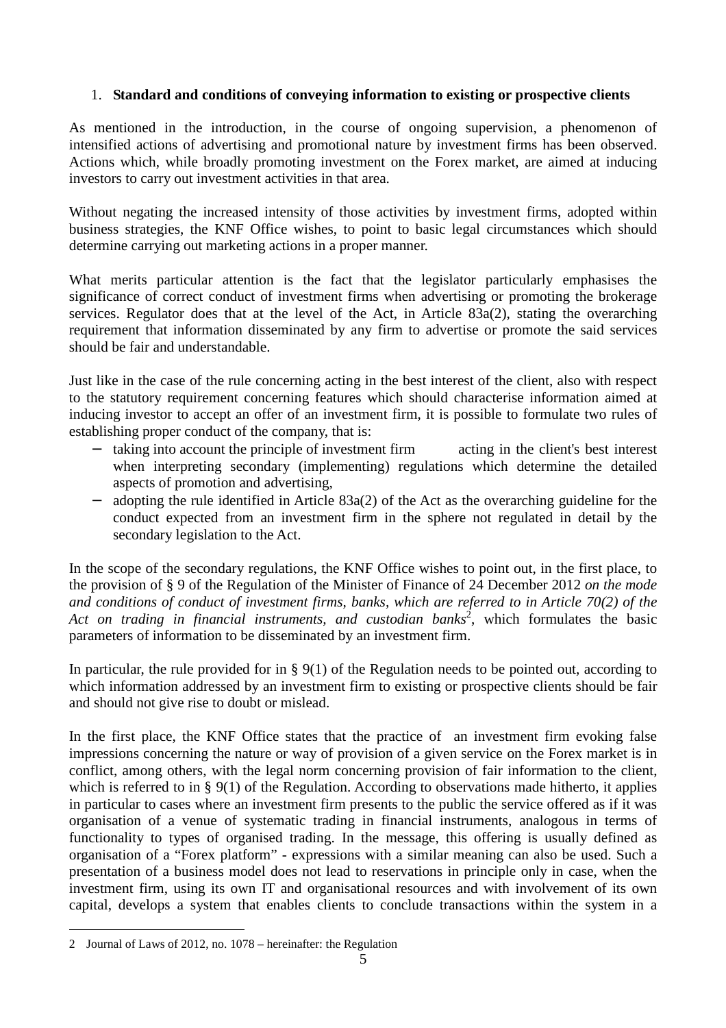# 1. **Standard and conditions of conveying information to existing or prospective clients**

As mentioned in the introduction, in the course of ongoing supervision, a phenomenon of intensified actions of advertising and promotional nature by investment firms has been observed. Actions which, while broadly promoting investment on the Forex market, are aimed at inducing investors to carry out investment activities in that area.

Without negating the increased intensity of those activities by investment firms, adopted within business strategies, the KNF Office wishes, to point to basic legal circumstances which should determine carrying out marketing actions in a proper manner.

What merits particular attention is the fact that the legislator particularly emphasises the significance of correct conduct of investment firms when advertising or promoting the brokerage services. Regulator does that at the level of the Act, in Article 83a(2), stating the overarching requirement that information disseminated by any firm to advertise or promote the said services should be fair and understandable.

Just like in the case of the rule concerning acting in the best interest of the client, also with respect to the statutory requirement concerning features which should characterise information aimed at inducing investor to accept an offer of an investment firm, it is possible to formulate two rules of establishing proper conduct of the company, that is:

- − taking into account the principle of investment firm acting in the client's best interest when interpreting secondary (implementing) regulations which determine the detailed aspects of promotion and advertising,
- − adopting the rule identified in Article 83a(2) of the Act as the overarching guideline for the conduct expected from an investment firm in the sphere not regulated in detail by the secondary legislation to the Act.

In the scope of the secondary regulations, the KNF Office wishes to point out, in the first place, to the provision of § 9 of the Regulation of the Minister of Finance of 24 December 2012 *on the mode and conditions of conduct of investment firms, banks, which are referred to in Article 70(2) of the*  Act on trading in financial instruments, and custodian banks<sup>2</sup>, which formulates the basic parameters of information to be disseminated by an investment firm.

In particular, the rule provided for in § 9(1) of the Regulation needs to be pointed out, according to which information addressed by an investment firm to existing or prospective clients should be fair and should not give rise to doubt or mislead.

In the first place, the KNF Office states that the practice of an investment firm evoking false impressions concerning the nature or way of provision of a given service on the Forex market is in conflict, among others, with the legal norm concerning provision of fair information to the client, which is referred to in § 9(1) of the Regulation. According to observations made hitherto, it applies in particular to cases where an investment firm presents to the public the service offered as if it was organisation of a venue of systematic trading in financial instruments, analogous in terms of functionality to types of organised trading. In the message, this offering is usually defined as organisation of a "Forex platform" - expressions with a similar meaning can also be used. Such a presentation of a business model does not lead to reservations in principle only in case, when the investment firm, using its own IT and organisational resources and with involvement of its own capital, develops a system that enables clients to conclude transactions within the system in a

<sup>2</sup> Journal of Laws of 2012, no. 1078 – hereinafter: the Regulation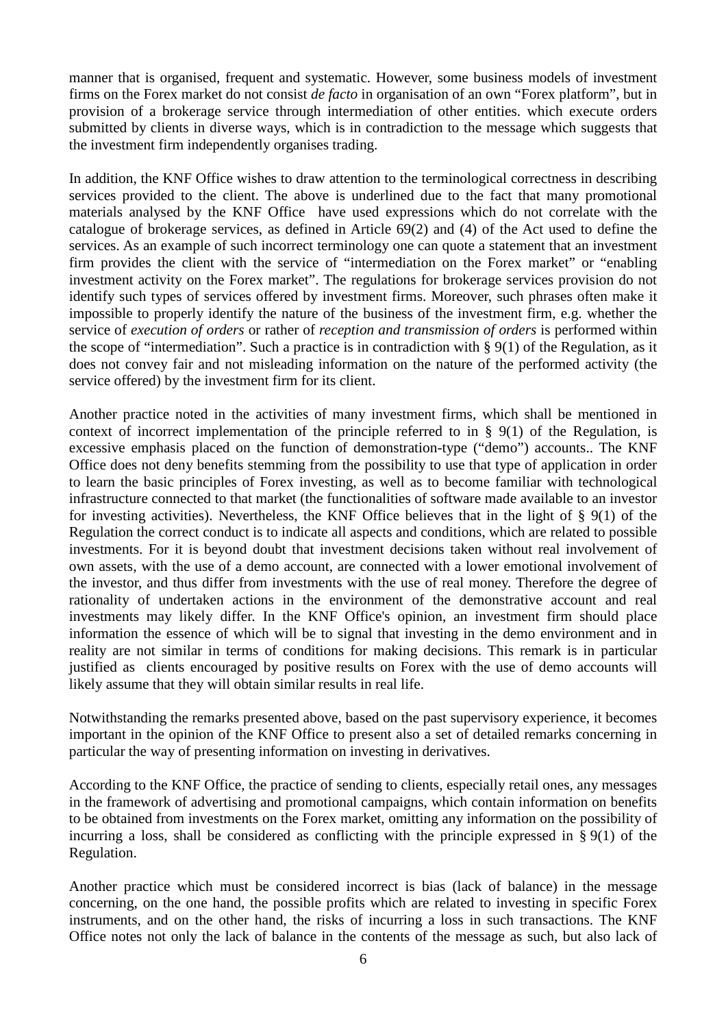manner that is organised, frequent and systematic. However, some business models of investment firms on the Forex market do not consist *de facto* in organisation of an own "Forex platform", but in provision of a brokerage service through intermediation of other entities. which execute orders submitted by clients in diverse ways, which is in contradiction to the message which suggests that the investment firm independently organises trading.

In addition, the KNF Office wishes to draw attention to the terminological correctness in describing services provided to the client. The above is underlined due to the fact that many promotional materials analysed by the KNF Office have used expressions which do not correlate with the catalogue of brokerage services, as defined in Article 69(2) and (4) of the Act used to define the services. As an example of such incorrect terminology one can quote a statement that an investment firm provides the client with the service of "intermediation on the Forex market" or "enabling investment activity on the Forex market". The regulations for brokerage services provision do not identify such types of services offered by investment firms. Moreover, such phrases often make it impossible to properly identify the nature of the business of the investment firm, e.g. whether the service of *execution of orders* or rather of *reception and transmission of orders* is performed within the scope of "intermediation". Such a practice is in contradiction with § 9(1) of the Regulation, as it does not convey fair and not misleading information on the nature of the performed activity (the service offered) by the investment firm for its client.

Another practice noted in the activities of many investment firms, which shall be mentioned in context of incorrect implementation of the principle referred to in  $\S$  9(1) of the Regulation, is excessive emphasis placed on the function of demonstration-type ("demo") accounts.. The KNF Office does not deny benefits stemming from the possibility to use that type of application in order to learn the basic principles of Forex investing, as well as to become familiar with technological infrastructure connected to that market (the functionalities of software made available to an investor for investing activities). Nevertheless, the KNF Office believes that in the light of § 9(1) of the Regulation the correct conduct is to indicate all aspects and conditions, which are related to possible investments. For it is beyond doubt that investment decisions taken without real involvement of own assets, with the use of a demo account, are connected with a lower emotional involvement of the investor, and thus differ from investments with the use of real money. Therefore the degree of rationality of undertaken actions in the environment of the demonstrative account and real investments may likely differ. In the KNF Office's opinion, an investment firm should place information the essence of which will be to signal that investing in the demo environment and in reality are not similar in terms of conditions for making decisions. This remark is in particular justified as clients encouraged by positive results on Forex with the use of demo accounts will likely assume that they will obtain similar results in real life.

Notwithstanding the remarks presented above, based on the past supervisory experience, it becomes important in the opinion of the KNF Office to present also a set of detailed remarks concerning in particular the way of presenting information on investing in derivatives.

According to the KNF Office, the practice of sending to clients, especially retail ones, any messages in the framework of advertising and promotional campaigns, which contain information on benefits to be obtained from investments on the Forex market, omitting any information on the possibility of incurring a loss, shall be considered as conflicting with the principle expressed in  $\S 9(1)$  of the Regulation.

Another practice which must be considered incorrect is bias (lack of balance) in the message concerning, on the one hand, the possible profits which are related to investing in specific Forex instruments, and on the other hand, the risks of incurring a loss in such transactions. The KNF Office notes not only the lack of balance in the contents of the message as such, but also lack of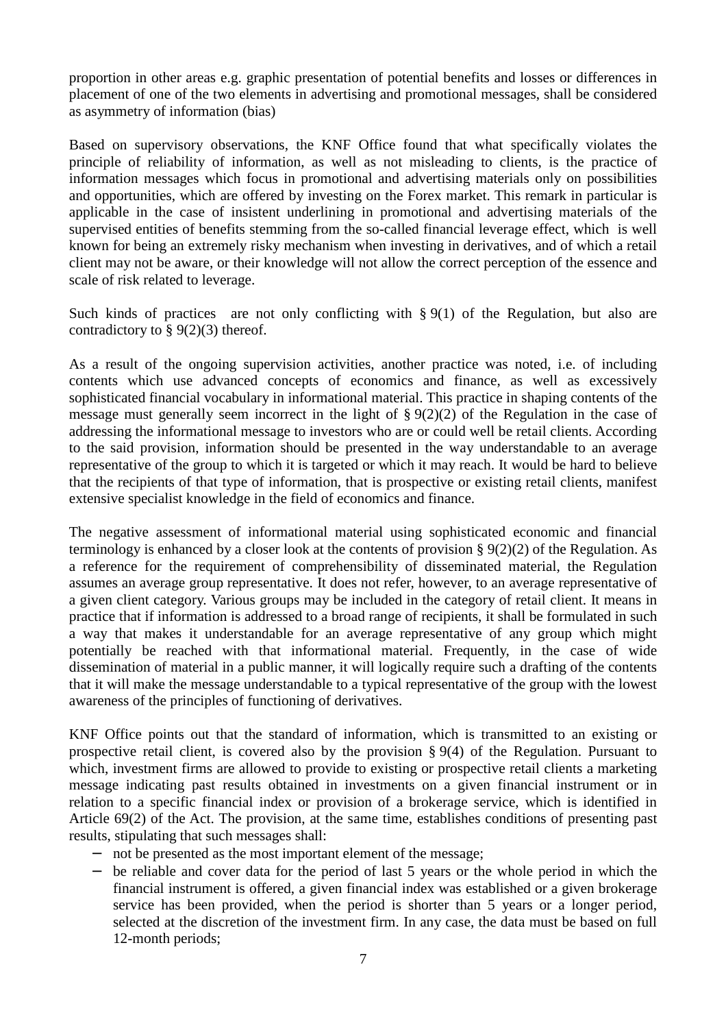proportion in other areas e.g. graphic presentation of potential benefits and losses or differences in placement of one of the two elements in advertising and promotional messages, shall be considered as asymmetry of information (bias)

Based on supervisory observations, the KNF Office found that what specifically violates the principle of reliability of information, as well as not misleading to clients, is the practice of information messages which focus in promotional and advertising materials only on possibilities and opportunities, which are offered by investing on the Forex market. This remark in particular is applicable in the case of insistent underlining in promotional and advertising materials of the supervised entities of benefits stemming from the so-called financial leverage effect, which is well known for being an extremely risky mechanism when investing in derivatives, and of which a retail client may not be aware, or their knowledge will not allow the correct perception of the essence and scale of risk related to leverage.

Such kinds of practices are not only conflicting with § 9(1) of the Regulation, but also are contradictory to  $\S 9(2)(3)$  thereof.

As a result of the ongoing supervision activities, another practice was noted, i.e. of including contents which use advanced concepts of economics and finance, as well as excessively sophisticated financial vocabulary in informational material. This practice in shaping contents of the message must generally seem incorrect in the light of  $\S 9(2)(2)$  of the Regulation in the case of addressing the informational message to investors who are or could well be retail clients. According to the said provision, information should be presented in the way understandable to an average representative of the group to which it is targeted or which it may reach. It would be hard to believe that the recipients of that type of information, that is prospective or existing retail clients, manifest extensive specialist knowledge in the field of economics and finance.

The negative assessment of informational material using sophisticated economic and financial terminology is enhanced by a closer look at the contents of provision § 9(2)(2) of the Regulation. As a reference for the requirement of comprehensibility of disseminated material, the Regulation assumes an average group representative. It does not refer, however, to an average representative of a given client category. Various groups may be included in the category of retail client. It means in practice that if information is addressed to a broad range of recipients, it shall be formulated in such a way that makes it understandable for an average representative of any group which might potentially be reached with that informational material. Frequently, in the case of wide dissemination of material in a public manner, it will logically require such a drafting of the contents that it will make the message understandable to a typical representative of the group with the lowest awareness of the principles of functioning of derivatives.

KNF Office points out that the standard of information, which is transmitted to an existing or prospective retail client, is covered also by the provision § 9(4) of the Regulation. Pursuant to which, investment firms are allowed to provide to existing or prospective retail clients a marketing message indicating past results obtained in investments on a given financial instrument or in relation to a specific financial index or provision of a brokerage service, which is identified in Article 69(2) of the Act. The provision, at the same time, establishes conditions of presenting past results, stipulating that such messages shall:

- − not be presented as the most important element of the message;
- − be reliable and cover data for the period of last 5 years or the whole period in which the financial instrument is offered, a given financial index was established or a given brokerage service has been provided, when the period is shorter than 5 years or a longer period, selected at the discretion of the investment firm. In any case, the data must be based on full 12-month periods;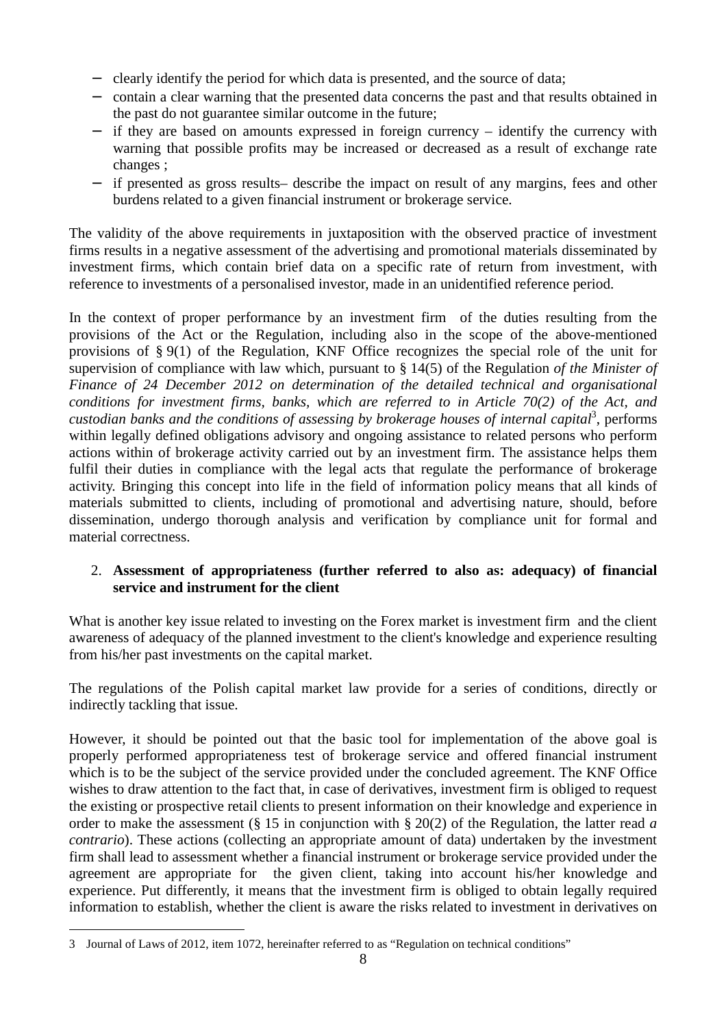- − clearly identify the period for which data is presented, and the source of data;
- − contain a clear warning that the presented data concerns the past and that results obtained in the past do not guarantee similar outcome in the future;
- − if they are based on amounts expressed in foreign currency identify the currency with warning that possible profits may be increased or decreased as a result of exchange rate changes ;
- − if presented as gross results– describe the impact on result of any margins, fees and other burdens related to a given financial instrument or brokerage service.

The validity of the above requirements in juxtaposition with the observed practice of investment firms results in a negative assessment of the advertising and promotional materials disseminated by investment firms, which contain brief data on a specific rate of return from investment, with reference to investments of a personalised investor, made in an unidentified reference period.

In the context of proper performance by an investment firm of the duties resulting from the provisions of the Act or the Regulation, including also in the scope of the above-mentioned provisions of § 9(1) of the Regulation, KNF Office recognizes the special role of the unit for supervision of compliance with law which, pursuant to § 14(5) of the Regulation *of the Minister of Finance of 24 December 2012 on determination of the detailed technical and organisational conditions for investment firms, banks, which are referred to in Article 70(2) of the Act, and*  custodian banks and the conditions of assessing by brokerage houses of internal capital<sup>3</sup>, performs within legally defined obligations advisory and ongoing assistance to related persons who perform actions within of brokerage activity carried out by an investment firm. The assistance helps them fulfil their duties in compliance with the legal acts that regulate the performance of brokerage activity. Bringing this concept into life in the field of information policy means that all kinds of materials submitted to clients, including of promotional and advertising nature, should, before dissemination, undergo thorough analysis and verification by compliance unit for formal and material correctness.

# 2. **Assessment of appropriateness (further referred to also as: adequacy) of financial service and instrument for the client**

What is another key issue related to investing on the Forex market is investment firm and the client awareness of adequacy of the planned investment to the client's knowledge and experience resulting from his/her past investments on the capital market.

The regulations of the Polish capital market law provide for a series of conditions, directly or indirectly tackling that issue.

However, it should be pointed out that the basic tool for implementation of the above goal is properly performed appropriateness test of brokerage service and offered financial instrument which is to be the subject of the service provided under the concluded agreement. The KNF Office wishes to draw attention to the fact that, in case of derivatives, investment firm is obliged to request the existing or prospective retail clients to present information on their knowledge and experience in order to make the assessment (§ 15 in conjunction with § 20(2) of the Regulation, the latter read *a contrario*). These actions (collecting an appropriate amount of data) undertaken by the investment firm shall lead to assessment whether a financial instrument or brokerage service provided under the agreement are appropriate for the given client, taking into account his/her knowledge and experience. Put differently, it means that the investment firm is obliged to obtain legally required information to establish, whether the client is aware the risks related to investment in derivatives on

 $\overline{a}$ 3 Journal of Laws of 2012, item 1072, hereinafter referred to as "Regulation on technical conditions"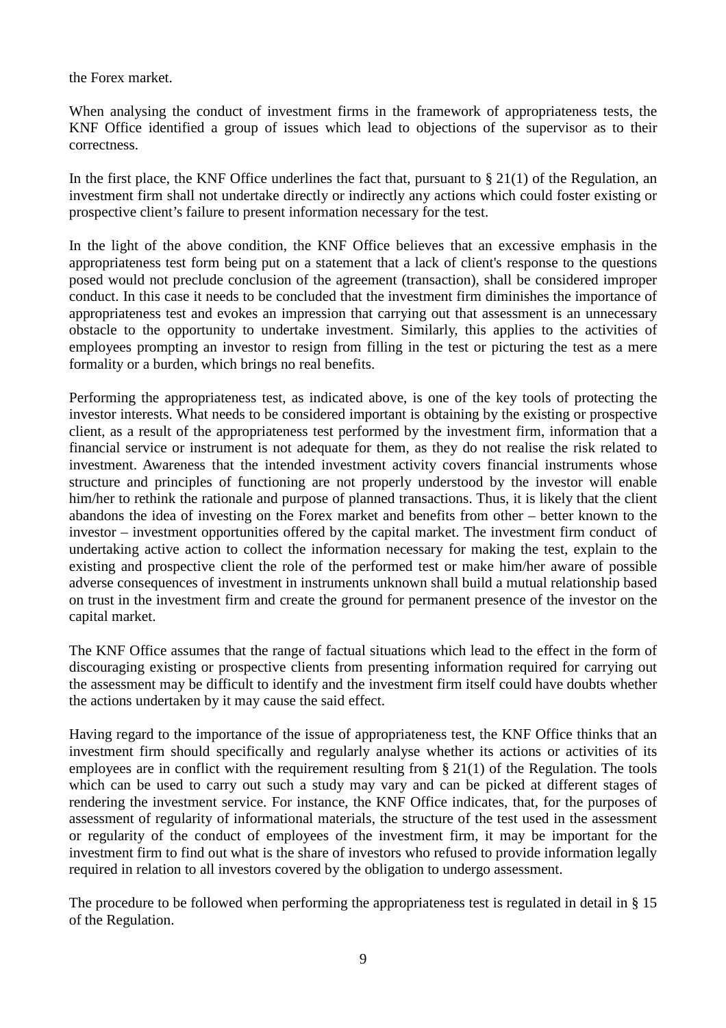the Forex market.

When analysing the conduct of investment firms in the framework of appropriateness tests, the KNF Office identified a group of issues which lead to objections of the supervisor as to their correctness.

In the first place, the KNF Office underlines the fact that, pursuant to  $\S 21(1)$  of the Regulation, an investment firm shall not undertake directly or indirectly any actions which could foster existing or prospective client's failure to present information necessary for the test.

In the light of the above condition, the KNF Office believes that an excessive emphasis in the appropriateness test form being put on a statement that a lack of client's response to the questions posed would not preclude conclusion of the agreement (transaction), shall be considered improper conduct. In this case it needs to be concluded that the investment firm diminishes the importance of appropriateness test and evokes an impression that carrying out that assessment is an unnecessary obstacle to the opportunity to undertake investment. Similarly, this applies to the activities of employees prompting an investor to resign from filling in the test or picturing the test as a mere formality or a burden, which brings no real benefits.

Performing the appropriateness test, as indicated above, is one of the key tools of protecting the investor interests. What needs to be considered important is obtaining by the existing or prospective client, as a result of the appropriateness test performed by the investment firm, information that a financial service or instrument is not adequate for them, as they do not realise the risk related to investment. Awareness that the intended investment activity covers financial instruments whose structure and principles of functioning are not properly understood by the investor will enable him/her to rethink the rationale and purpose of planned transactions. Thus, it is likely that the client abandons the idea of investing on the Forex market and benefits from other – better known to the investor – investment opportunities offered by the capital market. The investment firm conduct of undertaking active action to collect the information necessary for making the test, explain to the existing and prospective client the role of the performed test or make him/her aware of possible adverse consequences of investment in instruments unknown shall build a mutual relationship based on trust in the investment firm and create the ground for permanent presence of the investor on the capital market.

The KNF Office assumes that the range of factual situations which lead to the effect in the form of discouraging existing or prospective clients from presenting information required for carrying out the assessment may be difficult to identify and the investment firm itself could have doubts whether the actions undertaken by it may cause the said effect.

Having regard to the importance of the issue of appropriateness test, the KNF Office thinks that an investment firm should specifically and regularly analyse whether its actions or activities of its employees are in conflict with the requirement resulting from § 21(1) of the Regulation. The tools which can be used to carry out such a study may vary and can be picked at different stages of rendering the investment service. For instance, the KNF Office indicates, that, for the purposes of assessment of regularity of informational materials, the structure of the test used in the assessment or regularity of the conduct of employees of the investment firm, it may be important for the investment firm to find out what is the share of investors who refused to provide information legally required in relation to all investors covered by the obligation to undergo assessment.

The procedure to be followed when performing the appropriateness test is regulated in detail in § 15 of the Regulation.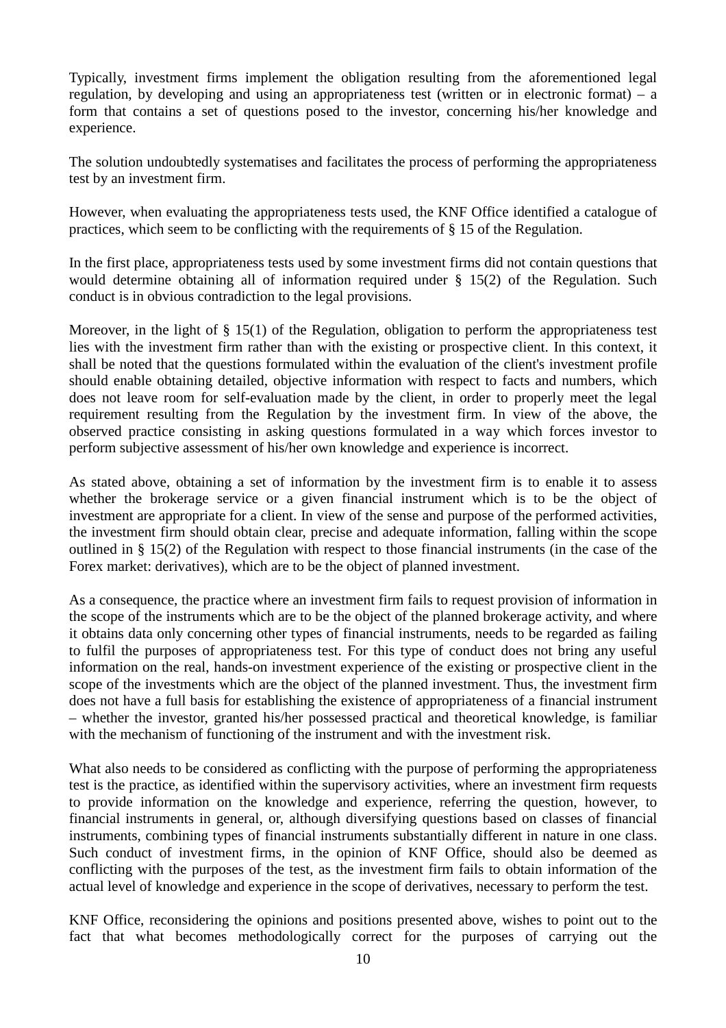Typically, investment firms implement the obligation resulting from the aforementioned legal regulation, by developing and using an appropriateness test (written or in electronic format) – a form that contains a set of questions posed to the investor, concerning his/her knowledge and experience.

The solution undoubtedly systematises and facilitates the process of performing the appropriateness test by an investment firm.

However, when evaluating the appropriateness tests used, the KNF Office identified a catalogue of practices, which seem to be conflicting with the requirements of § 15 of the Regulation.

In the first place, appropriateness tests used by some investment firms did not contain questions that would determine obtaining all of information required under § 15(2) of the Regulation. Such conduct is in obvious contradiction to the legal provisions.

Moreover, in the light of § 15(1) of the Regulation, obligation to perform the appropriateness test lies with the investment firm rather than with the existing or prospective client. In this context, it shall be noted that the questions formulated within the evaluation of the client's investment profile should enable obtaining detailed, objective information with respect to facts and numbers, which does not leave room for self-evaluation made by the client, in order to properly meet the legal requirement resulting from the Regulation by the investment firm. In view of the above, the observed practice consisting in asking questions formulated in a way which forces investor to perform subjective assessment of his/her own knowledge and experience is incorrect.

As stated above, obtaining a set of information by the investment firm is to enable it to assess whether the brokerage service or a given financial instrument which is to be the object of investment are appropriate for a client. In view of the sense and purpose of the performed activities, the investment firm should obtain clear, precise and adequate information, falling within the scope outlined in § 15(2) of the Regulation with respect to those financial instruments (in the case of the Forex market: derivatives), which are to be the object of planned investment.

As a consequence, the practice where an investment firm fails to request provision of information in the scope of the instruments which are to be the object of the planned brokerage activity, and where it obtains data only concerning other types of financial instruments, needs to be regarded as failing to fulfil the purposes of appropriateness test. For this type of conduct does not bring any useful information on the real, hands-on investment experience of the existing or prospective client in the scope of the investments which are the object of the planned investment. Thus, the investment firm does not have a full basis for establishing the existence of appropriateness of a financial instrument – whether the investor, granted his/her possessed practical and theoretical knowledge, is familiar with the mechanism of functioning of the instrument and with the investment risk.

What also needs to be considered as conflicting with the purpose of performing the appropriateness test is the practice, as identified within the supervisory activities, where an investment firm requests to provide information on the knowledge and experience, referring the question, however, to financial instruments in general, or, although diversifying questions based on classes of financial instruments, combining types of financial instruments substantially different in nature in one class. Such conduct of investment firms, in the opinion of KNF Office, should also be deemed as conflicting with the purposes of the test, as the investment firm fails to obtain information of the actual level of knowledge and experience in the scope of derivatives, necessary to perform the test.

KNF Office, reconsidering the opinions and positions presented above, wishes to point out to the fact that what becomes methodologically correct for the purposes of carrying out the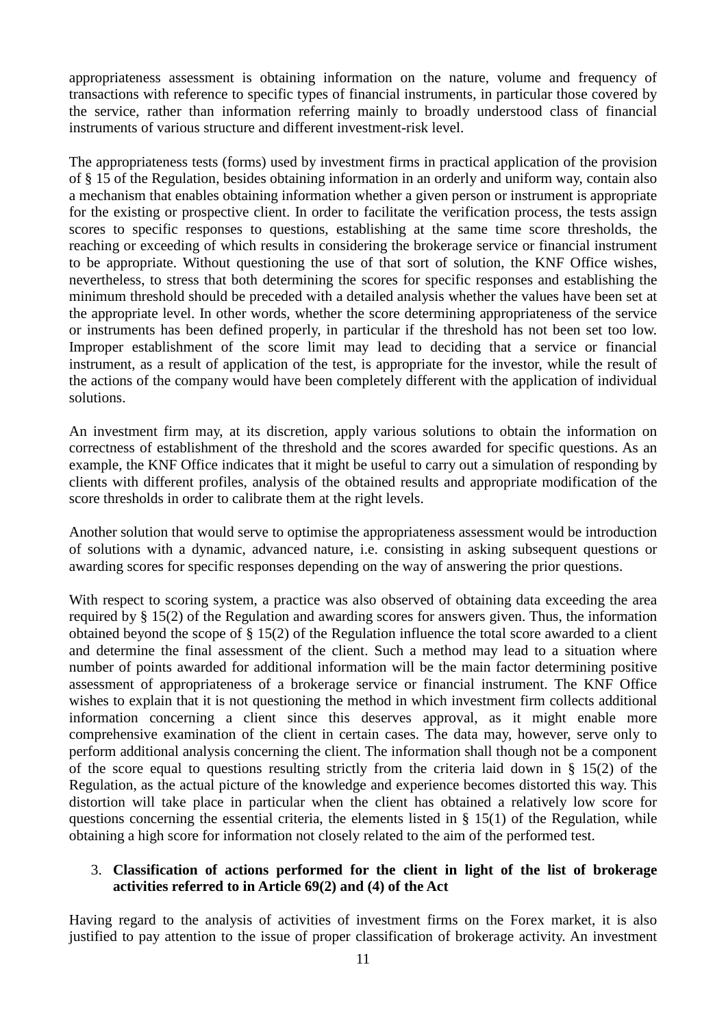appropriateness assessment is obtaining information on the nature, volume and frequency of transactions with reference to specific types of financial instruments, in particular those covered by the service, rather than information referring mainly to broadly understood class of financial instruments of various structure and different investment-risk level.

The appropriateness tests (forms) used by investment firms in practical application of the provision of § 15 of the Regulation, besides obtaining information in an orderly and uniform way, contain also a mechanism that enables obtaining information whether a given person or instrument is appropriate for the existing or prospective client. In order to facilitate the verification process, the tests assign scores to specific responses to questions, establishing at the same time score thresholds, the reaching or exceeding of which results in considering the brokerage service or financial instrument to be appropriate. Without questioning the use of that sort of solution, the KNF Office wishes, nevertheless, to stress that both determining the scores for specific responses and establishing the minimum threshold should be preceded with a detailed analysis whether the values have been set at the appropriate level. In other words, whether the score determining appropriateness of the service or instruments has been defined properly, in particular if the threshold has not been set too low. Improper establishment of the score limit may lead to deciding that a service or financial instrument, as a result of application of the test, is appropriate for the investor, while the result of the actions of the company would have been completely different with the application of individual solutions.

An investment firm may, at its discretion, apply various solutions to obtain the information on correctness of establishment of the threshold and the scores awarded for specific questions. As an example, the KNF Office indicates that it might be useful to carry out a simulation of responding by clients with different profiles, analysis of the obtained results and appropriate modification of the score thresholds in order to calibrate them at the right levels.

Another solution that would serve to optimise the appropriateness assessment would be introduction of solutions with a dynamic, advanced nature, i.e. consisting in asking subsequent questions or awarding scores for specific responses depending on the way of answering the prior questions.

With respect to scoring system, a practice was also observed of obtaining data exceeding the area required by § 15(2) of the Regulation and awarding scores for answers given. Thus, the information obtained beyond the scope of § 15(2) of the Regulation influence the total score awarded to a client and determine the final assessment of the client. Such a method may lead to a situation where number of points awarded for additional information will be the main factor determining positive assessment of appropriateness of a brokerage service or financial instrument. The KNF Office wishes to explain that it is not questioning the method in which investment firm collects additional information concerning a client since this deserves approval, as it might enable more comprehensive examination of the client in certain cases. The data may, however, serve only to perform additional analysis concerning the client. The information shall though not be a component of the score equal to questions resulting strictly from the criteria laid down in  $\S$  15(2) of the Regulation, as the actual picture of the knowledge and experience becomes distorted this way. This distortion will take place in particular when the client has obtained a relatively low score for questions concerning the essential criteria, the elements listed in § 15(1) of the Regulation, while obtaining a high score for information not closely related to the aim of the performed test.

# 3. **Classification of actions performed for the client in light of the list of brokerage activities referred to in Article 69(2) and (4) of the Act**

Having regard to the analysis of activities of investment firms on the Forex market, it is also justified to pay attention to the issue of proper classification of brokerage activity. An investment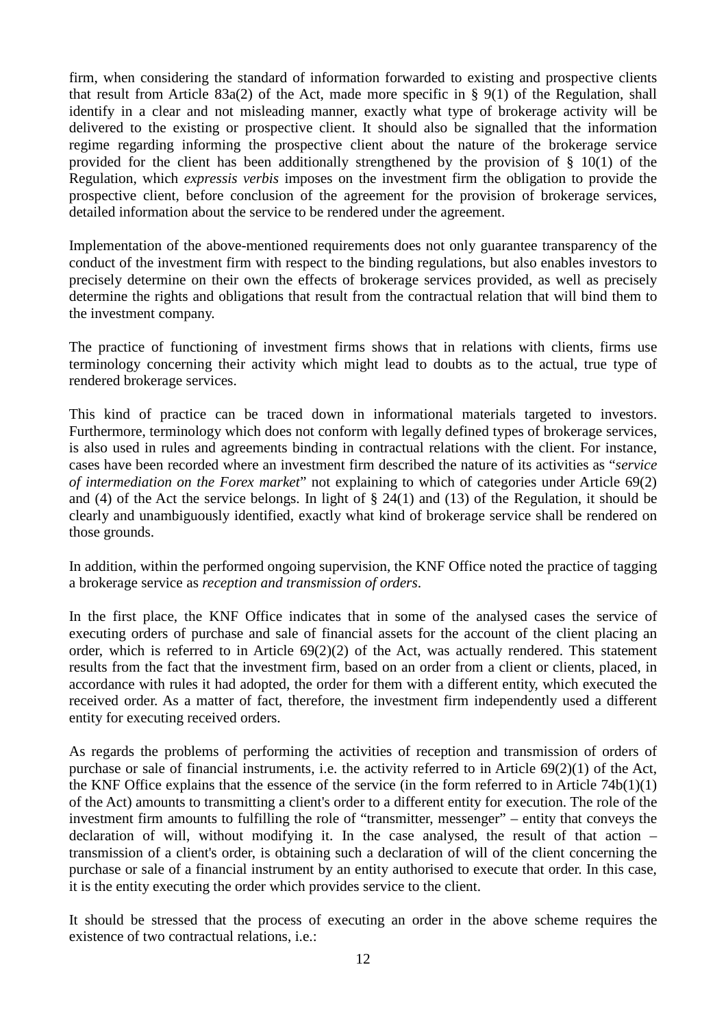firm, when considering the standard of information forwarded to existing and prospective clients that result from Article 83a(2) of the Act, made more specific in § 9(1) of the Regulation, shall identify in a clear and not misleading manner, exactly what type of brokerage activity will be delivered to the existing or prospective client. It should also be signalled that the information regime regarding informing the prospective client about the nature of the brokerage service provided for the client has been additionally strengthened by the provision of  $\S$  10(1) of the Regulation, which *expressis verbis* imposes on the investment firm the obligation to provide the prospective client, before conclusion of the agreement for the provision of brokerage services, detailed information about the service to be rendered under the agreement.

Implementation of the above-mentioned requirements does not only guarantee transparency of the conduct of the investment firm with respect to the binding regulations, but also enables investors to precisely determine on their own the effects of brokerage services provided, as well as precisely determine the rights and obligations that result from the contractual relation that will bind them to the investment company.

The practice of functioning of investment firms shows that in relations with clients, firms use terminology concerning their activity which might lead to doubts as to the actual, true type of rendered brokerage services.

This kind of practice can be traced down in informational materials targeted to investors. Furthermore, terminology which does not conform with legally defined types of brokerage services, is also used in rules and agreements binding in contractual relations with the client. For instance, cases have been recorded where an investment firm described the nature of its activities as "*service of intermediation on the Forex market*" not explaining to which of categories under Article 69(2) and (4) of the Act the service belongs. In light of § 24(1) and (13) of the Regulation, it should be clearly and unambiguously identified, exactly what kind of brokerage service shall be rendered on those grounds.

In addition, within the performed ongoing supervision, the KNF Office noted the practice of tagging a brokerage service as *reception and transmission of orders*.

In the first place, the KNF Office indicates that in some of the analysed cases the service of executing orders of purchase and sale of financial assets for the account of the client placing an order, which is referred to in Article 69(2)(2) of the Act, was actually rendered. This statement results from the fact that the investment firm, based on an order from a client or clients, placed, in accordance with rules it had adopted, the order for them with a different entity, which executed the received order. As a matter of fact, therefore, the investment firm independently used a different entity for executing received orders.

As regards the problems of performing the activities of reception and transmission of orders of purchase or sale of financial instruments, i.e. the activity referred to in Article  $69(2)(1)$  of the Act, the KNF Office explains that the essence of the service (in the form referred to in Article 74b(1)(1) of the Act) amounts to transmitting a client's order to a different entity for execution. The role of the investment firm amounts to fulfilling the role of "transmitter, messenger" – entity that conveys the declaration of will, without modifying it. In the case analysed, the result of that action – transmission of a client's order, is obtaining such a declaration of will of the client concerning the purchase or sale of a financial instrument by an entity authorised to execute that order. In this case, it is the entity executing the order which provides service to the client.

It should be stressed that the process of executing an order in the above scheme requires the existence of two contractual relations, i.e.: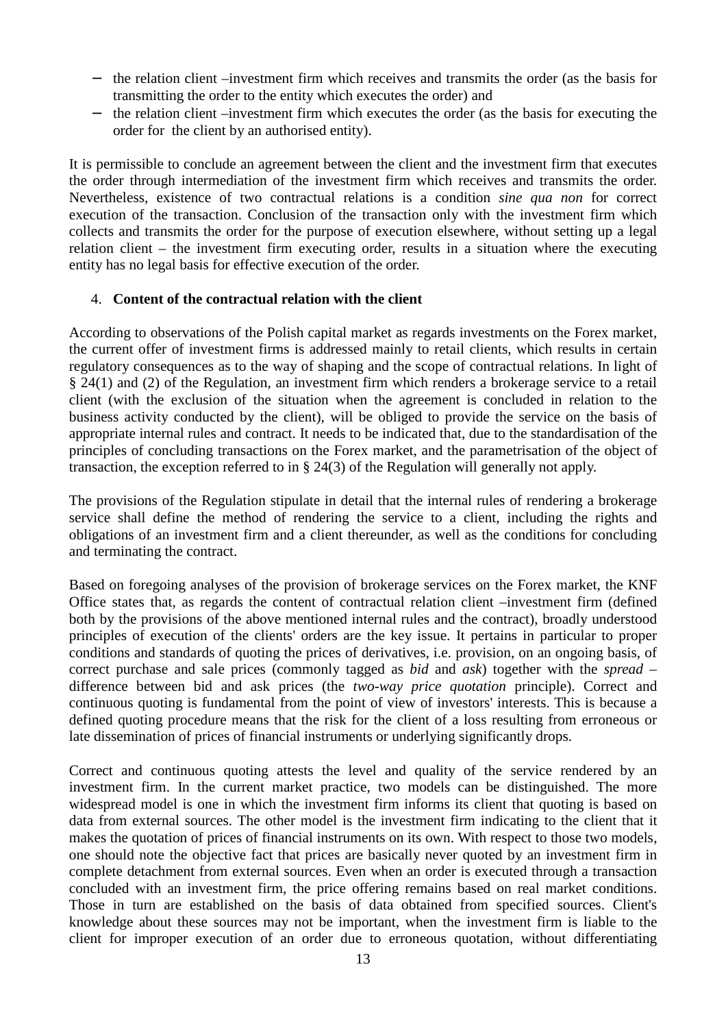- − the relation client –investment firm which receives and transmits the order (as the basis for transmitting the order to the entity which executes the order) and
- − the relation client –investment firm which executes the order (as the basis for executing the order for the client by an authorised entity).

It is permissible to conclude an agreement between the client and the investment firm that executes the order through intermediation of the investment firm which receives and transmits the order. Nevertheless, existence of two contractual relations is a condition *sine qua non* for correct execution of the transaction. Conclusion of the transaction only with the investment firm which collects and transmits the order for the purpose of execution elsewhere, without setting up a legal relation client – the investment firm executing order, results in a situation where the executing entity has no legal basis for effective execution of the order.

#### 4. **Content of the contractual relation with the client**

According to observations of the Polish capital market as regards investments on the Forex market, the current offer of investment firms is addressed mainly to retail clients, which results in certain regulatory consequences as to the way of shaping and the scope of contractual relations. In light of § 24(1) and (2) of the Regulation, an investment firm which renders a brokerage service to a retail client (with the exclusion of the situation when the agreement is concluded in relation to the business activity conducted by the client), will be obliged to provide the service on the basis of appropriate internal rules and contract. It needs to be indicated that, due to the standardisation of the principles of concluding transactions on the Forex market, and the parametrisation of the object of transaction, the exception referred to in § 24(3) of the Regulation will generally not apply.

The provisions of the Regulation stipulate in detail that the internal rules of rendering a brokerage service shall define the method of rendering the service to a client, including the rights and obligations of an investment firm and a client thereunder, as well as the conditions for concluding and terminating the contract.

Based on foregoing analyses of the provision of brokerage services on the Forex market, the KNF Office states that, as regards the content of contractual relation client –investment firm (defined both by the provisions of the above mentioned internal rules and the contract), broadly understood principles of execution of the clients' orders are the key issue. It pertains in particular to proper conditions and standards of quoting the prices of derivatives, i.e. provision, on an ongoing basis, of correct purchase and sale prices (commonly tagged as *bid* and *ask*) together with the *spread* – difference between bid and ask prices (the *two-way price quotation* principle). Correct and continuous quoting is fundamental from the point of view of investors' interests. This is because a defined quoting procedure means that the risk for the client of a loss resulting from erroneous or late dissemination of prices of financial instruments or underlying significantly drops.

Correct and continuous quoting attests the level and quality of the service rendered by an investment firm. In the current market practice, two models can be distinguished. The more widespread model is one in which the investment firm informs its client that quoting is based on data from external sources. The other model is the investment firm indicating to the client that it makes the quotation of prices of financial instruments on its own. With respect to those two models, one should note the objective fact that prices are basically never quoted by an investment firm in complete detachment from external sources. Even when an order is executed through a transaction concluded with an investment firm, the price offering remains based on real market conditions. Those in turn are established on the basis of data obtained from specified sources. Client's knowledge about these sources may not be important, when the investment firm is liable to the client for improper execution of an order due to erroneous quotation, without differentiating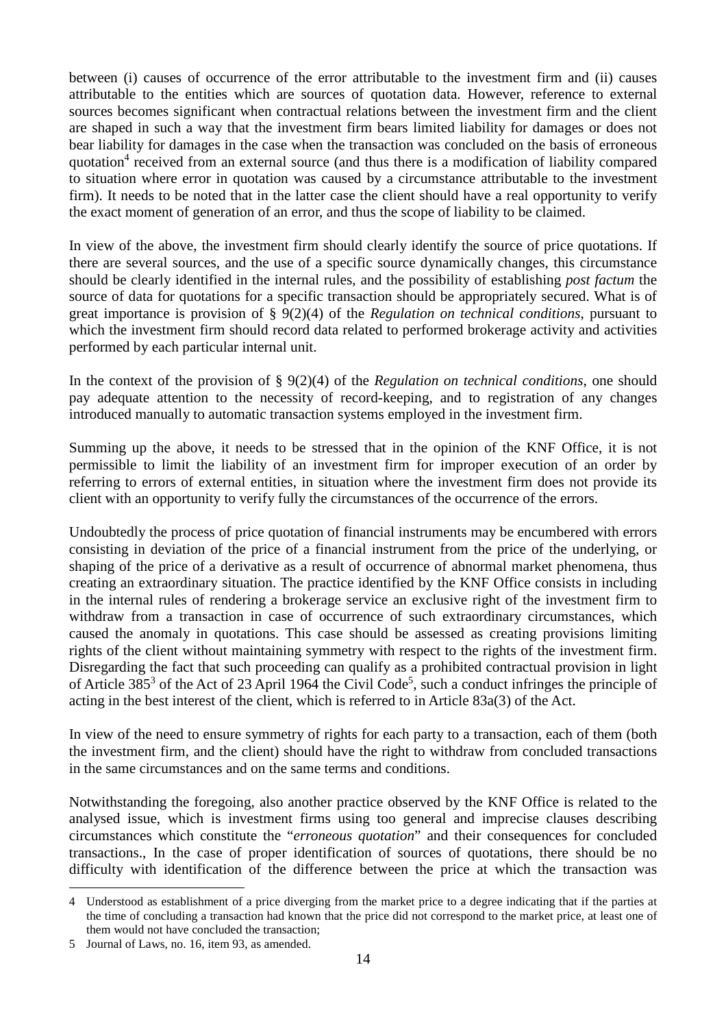between (i) causes of occurrence of the error attributable to the investment firm and (ii) causes attributable to the entities which are sources of quotation data. However, reference to external sources becomes significant when contractual relations between the investment firm and the client are shaped in such a way that the investment firm bears limited liability for damages or does not bear liability for damages in the case when the transaction was concluded on the basis of erroneous quotation<sup>4</sup> received from an external source (and thus there is a modification of liability compared to situation where error in quotation was caused by a circumstance attributable to the investment firm). It needs to be noted that in the latter case the client should have a real opportunity to verify the exact moment of generation of an error, and thus the scope of liability to be claimed.

In view of the above, the investment firm should clearly identify the source of price quotations. If there are several sources, and the use of a specific source dynamically changes, this circumstance should be clearly identified in the internal rules, and the possibility of establishing *post factum* the source of data for quotations for a specific transaction should be appropriately secured. What is of great importance is provision of § 9(2)(4) of the *Regulation on technical conditions*, pursuant to which the investment firm should record data related to performed brokerage activity and activities performed by each particular internal unit.

In the context of the provision of § 9(2)(4) of the *Regulation on technical conditions*, one should pay adequate attention to the necessity of record-keeping, and to registration of any changes introduced manually to automatic transaction systems employed in the investment firm.

Summing up the above, it needs to be stressed that in the opinion of the KNF Office, it is not permissible to limit the liability of an investment firm for improper execution of an order by referring to errors of external entities, in situation where the investment firm does not provide its client with an opportunity to verify fully the circumstances of the occurrence of the errors.

Undoubtedly the process of price quotation of financial instruments may be encumbered with errors consisting in deviation of the price of a financial instrument from the price of the underlying, or shaping of the price of a derivative as a result of occurrence of abnormal market phenomena, thus creating an extraordinary situation. The practice identified by the KNF Office consists in including in the internal rules of rendering a brokerage service an exclusive right of the investment firm to withdraw from a transaction in case of occurrence of such extraordinary circumstances, which caused the anomaly in quotations. This case should be assessed as creating provisions limiting rights of the client without maintaining symmetry with respect to the rights of the investment firm. Disregarding the fact that such proceeding can qualify as a prohibited contractual provision in light of Article 385<sup>3</sup> of the Act of 23 April 1964 the Civil Code<sup>5</sup>, such a conduct infringes the principle of acting in the best interest of the client, which is referred to in Article 83a(3) of the Act.

In view of the need to ensure symmetry of rights for each party to a transaction, each of them (both the investment firm, and the client) should have the right to withdraw from concluded transactions in the same circumstances and on the same terms and conditions.

Notwithstanding the foregoing, also another practice observed by the KNF Office is related to the analysed issue, which is investment firms using too general and imprecise clauses describing circumstances which constitute the "*erroneous quotation*" and their consequences for concluded transactions., In the case of proper identification of sources of quotations, there should be no difficulty with identification of the difference between the price at which the transaction was

<sup>4</sup> Understood as establishment of a price diverging from the market price to a degree indicating that if the parties at the time of concluding a transaction had known that the price did not correspond to the market price, at least one of them would not have concluded the transaction;

<sup>5</sup> Journal of Laws, no. 16, item 93, as amended.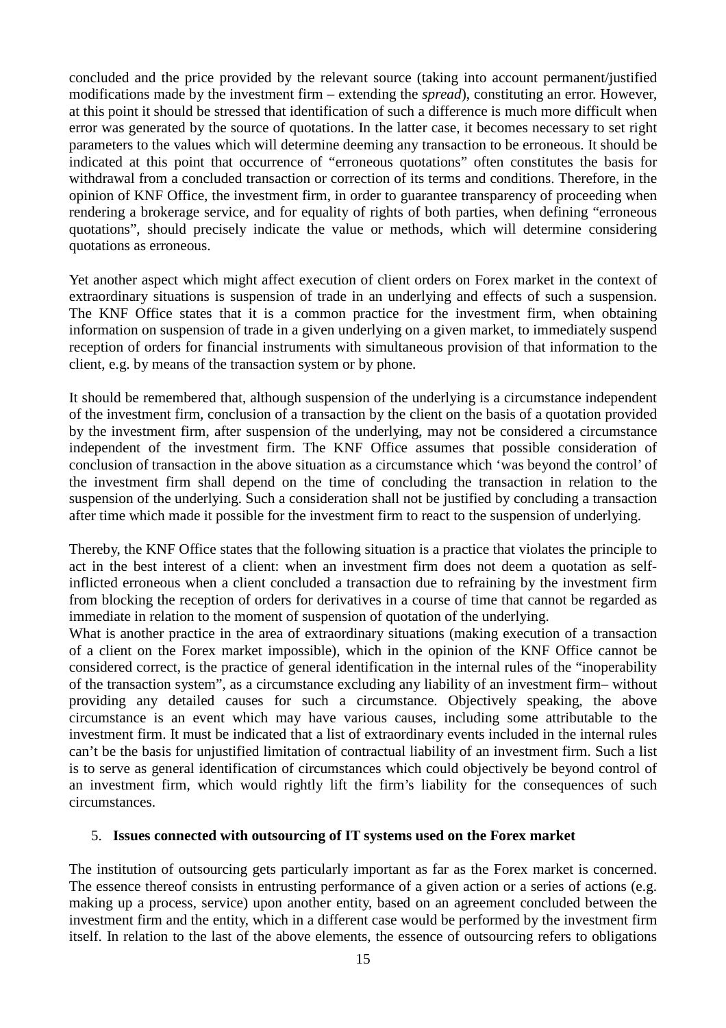concluded and the price provided by the relevant source (taking into account permanent/justified modifications made by the investment firm – extending the *spread*), constituting an error. However, at this point it should be stressed that identification of such a difference is much more difficult when error was generated by the source of quotations. In the latter case, it becomes necessary to set right parameters to the values which will determine deeming any transaction to be erroneous. It should be indicated at this point that occurrence of "erroneous quotations" often constitutes the basis for withdrawal from a concluded transaction or correction of its terms and conditions. Therefore, in the opinion of KNF Office, the investment firm, in order to guarantee transparency of proceeding when rendering a brokerage service, and for equality of rights of both parties, when defining "erroneous quotations", should precisely indicate the value or methods, which will determine considering quotations as erroneous.

Yet another aspect which might affect execution of client orders on Forex market in the context of extraordinary situations is suspension of trade in an underlying and effects of such a suspension. The KNF Office states that it is a common practice for the investment firm, when obtaining information on suspension of trade in a given underlying on a given market, to immediately suspend reception of orders for financial instruments with simultaneous provision of that information to the client, e.g. by means of the transaction system or by phone.

It should be remembered that, although suspension of the underlying is a circumstance independent of the investment firm, conclusion of a transaction by the client on the basis of a quotation provided by the investment firm, after suspension of the underlying, may not be considered a circumstance independent of the investment firm. The KNF Office assumes that possible consideration of conclusion of transaction in the above situation as a circumstance which 'was beyond the control' of the investment firm shall depend on the time of concluding the transaction in relation to the suspension of the underlying. Such a consideration shall not be justified by concluding a transaction after time which made it possible for the investment firm to react to the suspension of underlying.

Thereby, the KNF Office states that the following situation is a practice that violates the principle to act in the best interest of a client: when an investment firm does not deem a quotation as selfinflicted erroneous when a client concluded a transaction due to refraining by the investment firm from blocking the reception of orders for derivatives in a course of time that cannot be regarded as immediate in relation to the moment of suspension of quotation of the underlying.

What is another practice in the area of extraordinary situations (making execution of a transaction of a client on the Forex market impossible), which in the opinion of the KNF Office cannot be considered correct, is the practice of general identification in the internal rules of the "inoperability of the transaction system", as a circumstance excluding any liability of an investment firm– without providing any detailed causes for such a circumstance. Objectively speaking, the above circumstance is an event which may have various causes, including some attributable to the investment firm. It must be indicated that a list of extraordinary events included in the internal rules can't be the basis for unjustified limitation of contractual liability of an investment firm. Such a list is to serve as general identification of circumstances which could objectively be beyond control of an investment firm, which would rightly lift the firm's liability for the consequences of such circumstances.

#### 5. **Issues connected with outsourcing of IT systems used on the Forex market**

The institution of outsourcing gets particularly important as far as the Forex market is concerned. The essence thereof consists in entrusting performance of a given action or a series of actions (e.g. making up a process, service) upon another entity, based on an agreement concluded between the investment firm and the entity, which in a different case would be performed by the investment firm itself. In relation to the last of the above elements, the essence of outsourcing refers to obligations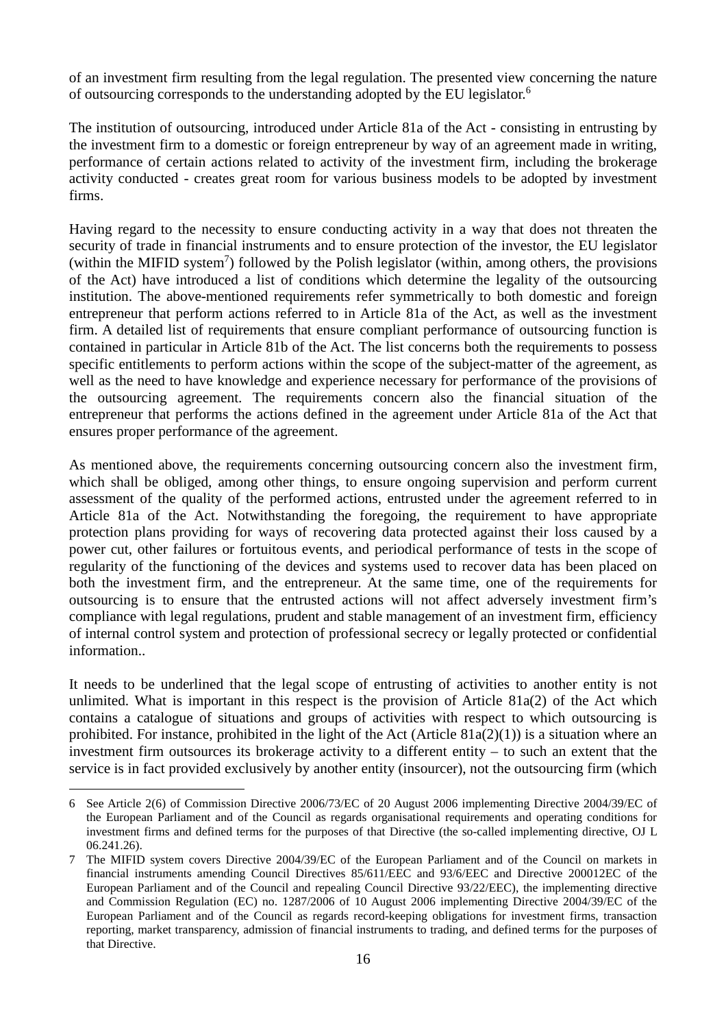of an investment firm resulting from the legal regulation. The presented view concerning the nature of outsourcing corresponds to the understanding adopted by the EU legislator.<sup>6</sup>

The institution of outsourcing, introduced under Article 81a of the Act - consisting in entrusting by the investment firm to a domestic or foreign entrepreneur by way of an agreement made in writing, performance of certain actions related to activity of the investment firm, including the brokerage activity conducted - creates great room for various business models to be adopted by investment firms.

Having regard to the necessity to ensure conducting activity in a way that does not threaten the security of trade in financial instruments and to ensure protection of the investor, the EU legislator (within the MIFID system<sup>7</sup>) followed by the Polish legislator (within, among others, the provisions of the Act) have introduced a list of conditions which determine the legality of the outsourcing institution. The above-mentioned requirements refer symmetrically to both domestic and foreign entrepreneur that perform actions referred to in Article 81a of the Act, as well as the investment firm. A detailed list of requirements that ensure compliant performance of outsourcing function is contained in particular in Article 81b of the Act. The list concerns both the requirements to possess specific entitlements to perform actions within the scope of the subject-matter of the agreement, as well as the need to have knowledge and experience necessary for performance of the provisions of the outsourcing agreement. The requirements concern also the financial situation of the entrepreneur that performs the actions defined in the agreement under Article 81a of the Act that ensures proper performance of the agreement.

As mentioned above, the requirements concerning outsourcing concern also the investment firm, which shall be obliged, among other things, to ensure ongoing supervision and perform current assessment of the quality of the performed actions, entrusted under the agreement referred to in Article 81a of the Act. Notwithstanding the foregoing, the requirement to have appropriate protection plans providing for ways of recovering data protected against their loss caused by a power cut, other failures or fortuitous events, and periodical performance of tests in the scope of regularity of the functioning of the devices and systems used to recover data has been placed on both the investment firm, and the entrepreneur. At the same time, one of the requirements for outsourcing is to ensure that the entrusted actions will not affect adversely investment firm's compliance with legal regulations, prudent and stable management of an investment firm, efficiency of internal control system and protection of professional secrecy or legally protected or confidential information..

It needs to be underlined that the legal scope of entrusting of activities to another entity is not unlimited. What is important in this respect is the provision of Article 81a(2) of the Act which contains a catalogue of situations and groups of activities with respect to which outsourcing is prohibited. For instance, prohibited in the light of the Act (Article  $81a(2)(1)$ ) is a situation where an investment firm outsources its brokerage activity to a different entity – to such an extent that the service is in fact provided exclusively by another entity (insourcer), not the outsourcing firm (which

<sup>6</sup> See Article 2(6) of Commission Directive 2006/73/EC of 20 August 2006 implementing Directive 2004/39/EC of the European Parliament and of the Council as regards organisational requirements and operating conditions for investment firms and defined terms for the purposes of that Directive (the so-called implementing directive, OJ L 06.241.26).

<sup>7</sup> The MIFID system covers Directive 2004/39/EC of the European Parliament and of the Council on markets in financial instruments amending Council Directives 85/611/EEC and 93/6/EEC and Directive 200012EC of the European Parliament and of the Council and repealing Council Directive 93/22/EEC), the implementing directive and Commission Regulation (EC) no. 1287/2006 of 10 August 2006 implementing Directive 2004/39/EC of the European Parliament and of the Council as regards record-keeping obligations for investment firms, transaction reporting, market transparency, admission of financial instruments to trading, and defined terms for the purposes of that Directive.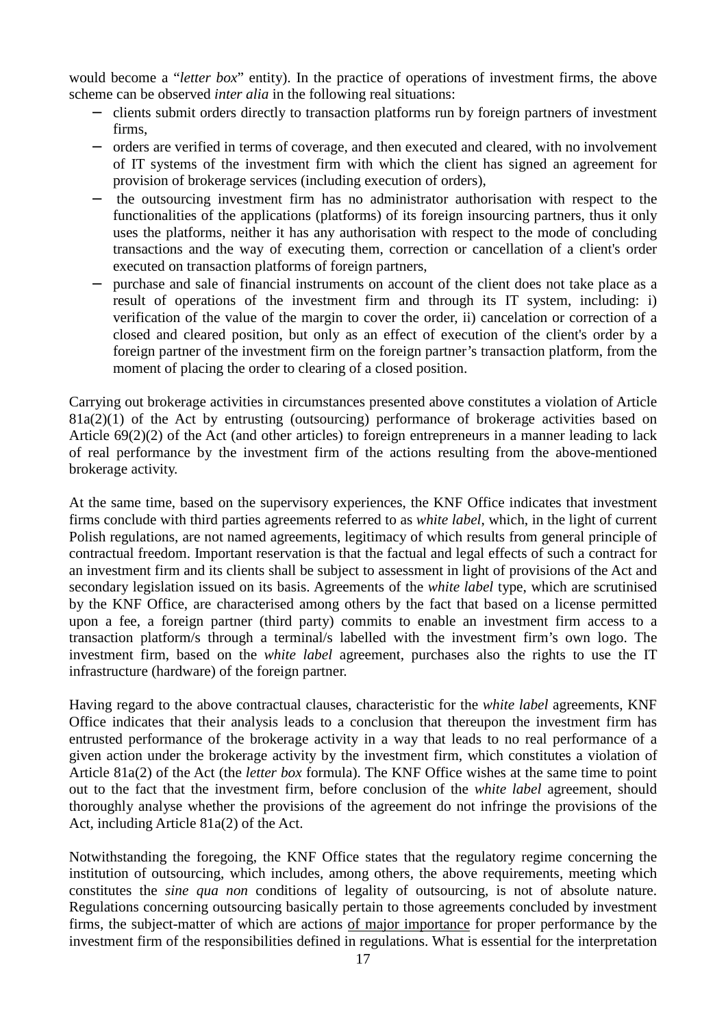would become a "*letter box*" entity). In the practice of operations of investment firms, the above scheme can be observed *inter alia* in the following real situations:

- − clients submit orders directly to transaction platforms run by foreign partners of investment firms,
- − orders are verified in terms of coverage, and then executed and cleared, with no involvement of IT systems of the investment firm with which the client has signed an agreement for provision of brokerage services (including execution of orders),
- − the outsourcing investment firm has no administrator authorisation with respect to the functionalities of the applications (platforms) of its foreign insourcing partners, thus it only uses the platforms, neither it has any authorisation with respect to the mode of concluding transactions and the way of executing them, correction or cancellation of a client's order executed on transaction platforms of foreign partners,
- purchase and sale of financial instruments on account of the client does not take place as a result of operations of the investment firm and through its IT system, including: i) verification of the value of the margin to cover the order, ii) cancelation or correction of a closed and cleared position, but only as an effect of execution of the client's order by a foreign partner of the investment firm on the foreign partner's transaction platform, from the moment of placing the order to clearing of a closed position.

Carrying out brokerage activities in circumstances presented above constitutes a violation of Article  $81a(2)(1)$  of the Act by entrusting (outsourcing) performance of brokerage activities based on Article 69(2)(2) of the Act (and other articles) to foreign entrepreneurs in a manner leading to lack of real performance by the investment firm of the actions resulting from the above-mentioned brokerage activity.

At the same time, based on the supervisory experiences, the KNF Office indicates that investment firms conclude with third parties agreements referred to as *white label*, which, in the light of current Polish regulations, are not named agreements, legitimacy of which results from general principle of contractual freedom. Important reservation is that the factual and legal effects of such a contract for an investment firm and its clients shall be subject to assessment in light of provisions of the Act and secondary legislation issued on its basis. Agreements of the *white label* type, which are scrutinised by the KNF Office, are characterised among others by the fact that based on a license permitted upon a fee, a foreign partner (third party) commits to enable an investment firm access to a transaction platform/s through a terminal/s labelled with the investment firm's own logo. The investment firm, based on the *white label* agreement, purchases also the rights to use the IT infrastructure (hardware) of the foreign partner.

Having regard to the above contractual clauses, characteristic for the *white label* agreements, KNF Office indicates that their analysis leads to a conclusion that thereupon the investment firm has entrusted performance of the brokerage activity in a way that leads to no real performance of a given action under the brokerage activity by the investment firm, which constitutes a violation of Article 81a(2) of the Act (the *letter box* formula). The KNF Office wishes at the same time to point out to the fact that the investment firm, before conclusion of the *white label* agreement, should thoroughly analyse whether the provisions of the agreement do not infringe the provisions of the Act, including Article 81a(2) of the Act.

Notwithstanding the foregoing, the KNF Office states that the regulatory regime concerning the institution of outsourcing, which includes, among others, the above requirements, meeting which constitutes the *sine qua non* conditions of legality of outsourcing, is not of absolute nature. Regulations concerning outsourcing basically pertain to those agreements concluded by investment firms, the subject-matter of which are actions of major importance for proper performance by the investment firm of the responsibilities defined in regulations. What is essential for the interpretation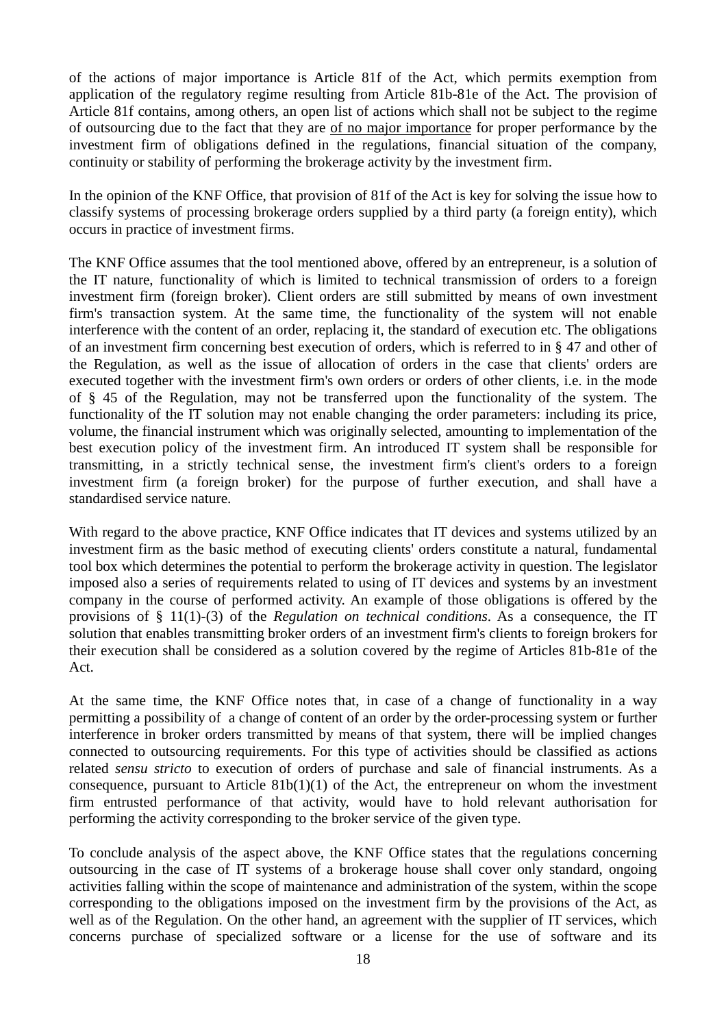of the actions of major importance is Article 81f of the Act, which permits exemption from application of the regulatory regime resulting from Article 81b-81e of the Act. The provision of Article 81f contains, among others, an open list of actions which shall not be subject to the regime of outsourcing due to the fact that they are of no major importance for proper performance by the investment firm of obligations defined in the regulations, financial situation of the company, continuity or stability of performing the brokerage activity by the investment firm.

In the opinion of the KNF Office, that provision of 81f of the Act is key for solving the issue how to classify systems of processing brokerage orders supplied by a third party (a foreign entity), which occurs in practice of investment firms.

The KNF Office assumes that the tool mentioned above, offered by an entrepreneur, is a solution of the IT nature, functionality of which is limited to technical transmission of orders to a foreign investment firm (foreign broker). Client orders are still submitted by means of own investment firm's transaction system. At the same time, the functionality of the system will not enable interference with the content of an order, replacing it, the standard of execution etc. The obligations of an investment firm concerning best execution of orders, which is referred to in § 47 and other of the Regulation, as well as the issue of allocation of orders in the case that clients' orders are executed together with the investment firm's own orders or orders of other clients, i.e. in the mode of § 45 of the Regulation, may not be transferred upon the functionality of the system. The functionality of the IT solution may not enable changing the order parameters: including its price, volume, the financial instrument which was originally selected, amounting to implementation of the best execution policy of the investment firm. An introduced IT system shall be responsible for transmitting, in a strictly technical sense, the investment firm's client's orders to a foreign investment firm (a foreign broker) for the purpose of further execution, and shall have a standardised service nature.

With regard to the above practice, KNF Office indicates that IT devices and systems utilized by an investment firm as the basic method of executing clients' orders constitute a natural, fundamental tool box which determines the potential to perform the brokerage activity in question. The legislator imposed also a series of requirements related to using of IT devices and systems by an investment company in the course of performed activity. An example of those obligations is offered by the provisions of § 11(1)-(3) of the *Regulation on technical conditions*. As a consequence, the IT solution that enables transmitting broker orders of an investment firm's clients to foreign brokers for their execution shall be considered as a solution covered by the regime of Articles 81b-81e of the Act.

At the same time, the KNF Office notes that, in case of a change of functionality in a way permitting a possibility of a change of content of an order by the order-processing system or further interference in broker orders transmitted by means of that system, there will be implied changes connected to outsourcing requirements. For this type of activities should be classified as actions related *sensu stricto* to execution of orders of purchase and sale of financial instruments. As a consequence, pursuant to Article  $81b(1)(1)$  of the Act, the entrepreneur on whom the investment firm entrusted performance of that activity, would have to hold relevant authorisation for performing the activity corresponding to the broker service of the given type.

To conclude analysis of the aspect above, the KNF Office states that the regulations concerning outsourcing in the case of IT systems of a brokerage house shall cover only standard, ongoing activities falling within the scope of maintenance and administration of the system, within the scope corresponding to the obligations imposed on the investment firm by the provisions of the Act, as well as of the Regulation. On the other hand, an agreement with the supplier of IT services, which concerns purchase of specialized software or a license for the use of software and its